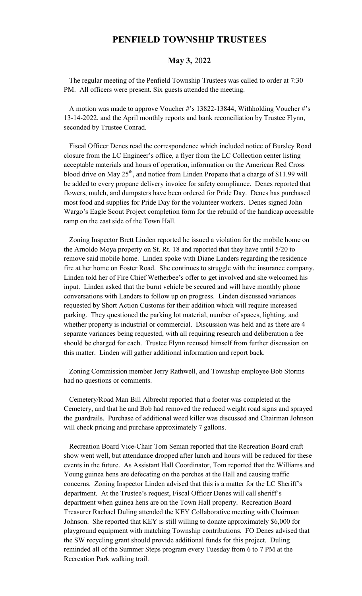## **PENFIELD TOWNSHIP TRUSTEES**

## **May 3,** 20**22**

 The regular meeting of the Penfield Township Trustees was called to order at 7:30 PM. All officers were present. Six guests attended the meeting.

 A motion was made to approve Voucher #'s 13822-13844, Withholding Voucher #'s 13-14-2022, and the April monthly reports and bank reconciliation by Trustee Flynn, seconded by Trustee Conrad.

 Fiscal Officer Denes read the correspondence which included notice of Bursley Road closure from the LC Engineer's office, a flyer from the LC Collection center listing acceptable materials and hours of operation, information on the American Red Cross blood drive on May  $25<sup>th</sup>$ , and notice from Linden Propane that a charge of \$11.99 will be added to every propane delivery invoice for safety compliance. Denes reported that flowers, mulch, and dumpsters have been ordered for Pride Day. Denes has purchased most food and supplies for Pride Day for the volunteer workers. Denes signed John Wargo's Eagle Scout Project completion form for the rebuild of the handicap accessible ramp on the east side of the Town Hall.

 Zoning Inspector Brett Linden reported he issued a violation for the mobile home on the Arnoldo Moya property on St. Rt. 18 and reported that they have until 5/20 to remove said mobile home. Linden spoke with Diane Landers regarding the residence fire at her home on Foster Road. She continues to struggle with the insurance company. Linden told her of Fire Chief Wetherbee's offer to get involved and she welcomed his input. Linden asked that the burnt vehicle be secured and will have monthly phone conversations with Landers to follow up on progress. Linden discussed variances requested by Short Action Customs for their addition which will require increased parking. They questioned the parking lot material, number of spaces, lighting, and whether property is industrial or commercial. Discussion was held and as there are 4 separate variances being requested, with all requiring research and deliberation a fee should be charged for each. Trustee Flynn recused himself from further discussion on this matter. Linden will gather additional information and report back.

 Zoning Commission member Jerry Rathwell, and Township employee Bob Storms had no questions or comments.

 Cemetery/Road Man Bill Albrecht reported that a footer was completed at the Cemetery, and that he and Bob had removed the reduced weight road signs and sprayed the guardrails. Purchase of additional weed killer was discussed and Chairman Johnson will check pricing and purchase approximately 7 gallons.

 Recreation Board Vice-Chair Tom Seman reported that the Recreation Board craft show went well, but attendance dropped after lunch and hours will be reduced for these events in the future. As Assistant Hall Coordinator, Tom reported that the Williams and Young guinea hens are defecating on the porches at the Hall and causing traffic concerns. Zoning Inspector Linden advised that this is a matter for the LC Sheriff's department. At the Trustee's request, Fiscal Officer Denes will call sheriff's department when guinea hens are on the Town Hall property. Recreation Board Treasurer Rachael Duling attended the KEY Collaborative meeting with Chairman Johnson. She reported that KEY is still willing to donate approximately \$6,000 for playground equipment with matching Township contributions. FO Denes advised that the SW recycling grant should provide additional funds for this project. Duling reminded all of the Summer Steps program every Tuesday from 6 to 7 PM at the Recreation Park walking trail.